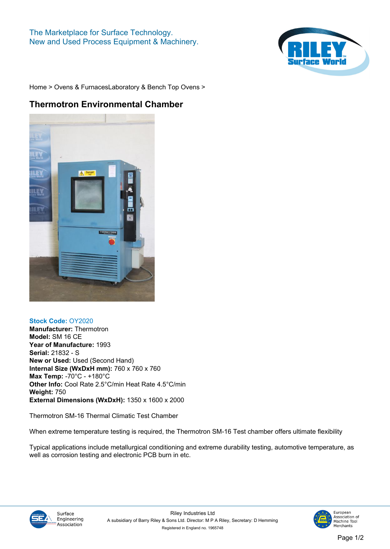## **The Marketplace for Surface Technology. New and Used Process Equipment & Machinery.**



**[Home](https://www.rileysurfaceworld.co.uk) > [Ovens & Furnaces](https://www.rileysurfaceworld.co.uk/ovens.asp)[Laboratory & Bench Top Ovens](https://www.rileysurfaceworld.co.uk/ovens-laboratory.asp) >**

## **Thermotron Environmental Chamber**



## **Stock Code: OY2020**

**Manufacturer: Thermotron Model: SM 16 CE Year of Manufacture: 1993 Serial: 21832 - S New or Used: Used (Second Hand) Internal Size (WxDxH mm): 760 x 760 x 760 Max Temp: -70°C - +180°C Other Info: Cool Rate 2.5°C/min Heat Rate 4.5°C/min Weight: 750 External Dimensions (WxDxH): 1350 x 1600 x 2000**

**Thermotron SM-16 Thermal Climatic Test Chamber**

**When extreme temperature testing is required, the Thermotron SM-16 Test chamber offers ultimate flexibility**

**Typical applications include metallurgical conditioning and extreme durability testing, automotive temperature, as well as corrosion testing and electronic PCB burn in etc.**